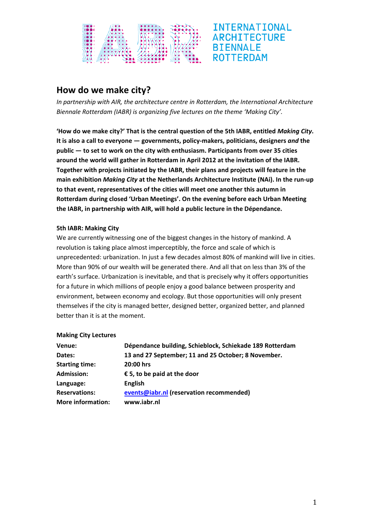

# **How do we make city?**

*In partnership with AIR, the architecture centre in Rotterdam, the International Architecture Biennale Rotterdam (IABR) is organizing five lectures on the theme 'Making City'.*

**'How do we make city?' That is the central question of the 5th IABR, entitled** *Making City***. It is also a call to everyone — governments, policy‐makers, politicians, designers** *and* **the public — to set to work on the city with enthusiasm. Participants from over 35 cities around the world will gather in Rotterdam in April 2012 at the invitation of the IABR. Together with projects initiated by the IABR, their plans and projects will feature in the main exhibition** *Making City* **at the Netherlands Architecture Institute (NAi). In the run‐up to that event, representatives of the cities will meet one another this autumn in Rotterdam during closed 'Urban Meetings'. On the evening before each Urban Meeting the IABR, in partnership with AIR, will hold a public lecture in the Dépendance.** 

## **5th IABR: Making City**

We are currently witnessing one of the biggest changes in the history of mankind. A revolution is taking place almost imperceptibly, the force and scale of which is unprecedented: urbanization. In just a few decades almost 80% of mankind will live in cities. More than 90% of our wealth will be generated there. And all that on less than 3% of the earth's surface. Urbanization is inevitable, and that is precisely why it offers opportunities for a future in which millions of people enjoy a good balance between prosperity and environment, between economy and ecology. But those opportunities will only present themselves if the city is managed better, designed better, organized better, and planned better than it is at the moment.

#### **Making City Lectures**

| Venue:                   | Dépendance building, Schieblock, Schiekade 189 Rotterdam |
|--------------------------|----------------------------------------------------------|
| Dates:                   | 13 and 27 September; 11 and 25 October; 8 November.      |
| <b>Starting time:</b>    | 20:00 hrs                                                |
| <b>Admission:</b>        | $\epsilon$ 5, to be paid at the door                     |
| Language:                | <b>English</b>                                           |
| <b>Reservations:</b>     | events@iabr.nl (reservation recommended)                 |
| <b>More information:</b> | www.iabr.nl                                              |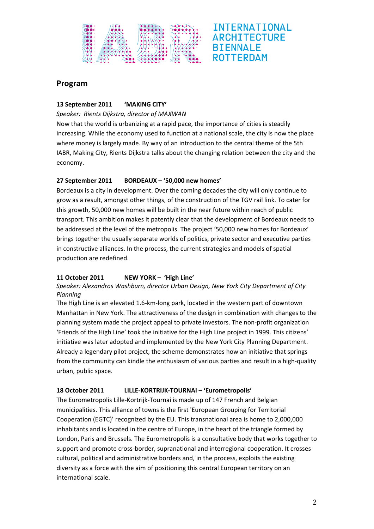

## **Program**

## **13 September 2011 'MAKING CITY'**

#### *Speaker: Rients Dijkstra, director of MAXWAN*

Now that the world is urbanizing at a rapid pace, the importance of cities is steadily increasing. While the economy used to function at a national scale, the city is now the place where money is largely made. By way of an introduction to the central theme of the 5th IABR, Making City, Rients Dijkstra talks about the changing relation between the city and the economy.

## **27 September 2011 BORDEAUX – '50,000 new homes'**

Bordeaux is a city in development. Over the coming decades the city will only continue to grow as a result, amongst other things, of the construction of the TGV rail link. To cater for this growth, 50,000 new homes will be built in the near future within reach of public transport. This ambition makes it patently clear that the development of Bordeaux needs to be addressed at the level of the metropolis. The project '50,000 new homes for Bordeaux' brings together the usually separate worlds of politics, private sector and executive parties in constructive alliances. In the process, the current strategies and models of spatial production are redefined.

## **11 October 2011 NEW YORK – 'High Line'**

# *Speaker: Alexandros Washburn, director Urban Design, New York City Department of City Planning*

The High Line is an elevated 1.6‐km‐long park, located in the western part of downtown Manhattan in New York. The attractiveness of the design in combination with changes to the planning system made the project appeal to private investors. The non‐profit organization 'Friends of the High Line' took the initiative for the High Line project in 1999. This citizens' initiative was later adopted and implemented by the New York City Planning Department. Already a legendary pilot project, the scheme demonstrates how an initiative that springs from the community can kindle the enthusiasm of various parties and result in a high-quality urban, public space.

# **18 October 2011 LILLE‐KORTRIJK‐TOURNAI – 'Eurometropolis'**

The Eurometropolis Lille‐Kortrijk‐Tournai is made up of 147 French and Belgian municipalities. This alliance of towns is the first 'European Grouping for Territorial Cooperation (EGTC)' recognized by the EU. This transnational area is home to 2,000,000 inhabitants and is located in the centre of Europe, in the heart of the triangle formed by London, Paris and Brussels. The Eurometropolis is a consultative body that works together to support and promote cross‐border, supranational and interregional cooperation. It crosses cultural, political and administrative borders and, in the process, exploits the existing diversity as a force with the aim of positioning this central European territory on an international scale.